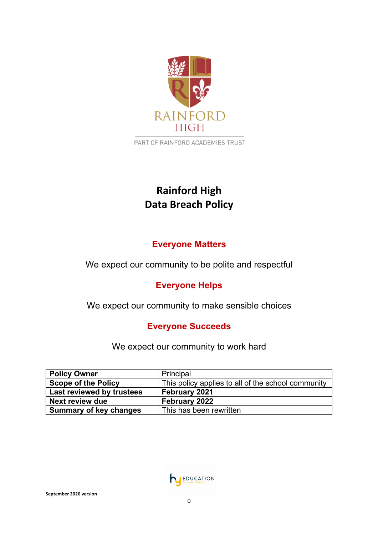

PART OF RAINFORD ACADEMIES TRUST

# **Rainford High Data Breach Policy**

# **Everyone Matters**

We expect our community to be polite and respectful

# **Everyone Helps**

We expect our community to make sensible choices

# **Everyone Succeeds**

We expect our community to work hard

| <b>Policy Owner</b>           | Principal                                          |
|-------------------------------|----------------------------------------------------|
| <b>Scope of the Policy</b>    | This policy applies to all of the school community |
| Last reviewed by trustees     | February 2021                                      |
| <b>Next review due</b>        | February 2022                                      |
| <b>Summary of key changes</b> | This has been rewritten                            |

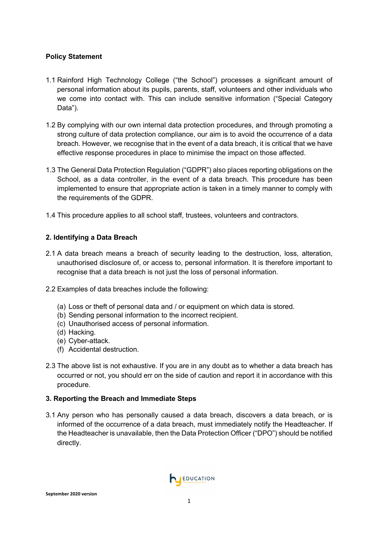# **Policy Statement**

- 1.1 Rainford High Technology College ("the School") processes a significant amount of personal information about its pupils, parents, staff, volunteers and other individuals who we come into contact with. This can include sensitive information ("Special Category Data").
- 1.2 By complying with our own internal data protection procedures, and through promoting a strong culture of data protection compliance, our aim is to avoid the occurrence of a data breach. However, we recognise that in the event of a data breach, it is critical that we have effective response procedures in place to minimise the impact on those affected.
- 1.3 The General Data Protection Regulation ("GDPR") also places reporting obligations on the School, as a data controller, in the event of a data breach. This procedure has been implemented to ensure that appropriate action is taken in a timely manner to comply with the requirements of the GDPR.
- 1.4 This procedure applies to all school staff, trustees, volunteers and contractors.

# **2. Identifying a Data Breach**

- 2.1 A data breach means a breach of security leading to the destruction, loss, alteration, unauthorised disclosure of, or access to, personal information. It is therefore important to recognise that a data breach is not just the loss of personal information.
- 2.2 Examples of data breaches include the following:
	- (a) Loss or theft of personal data and / or equipment on which data is stored.
	- (b) Sending personal information to the incorrect recipient.
	- (c) Unauthorised access of personal information.
	- (d) Hacking.
	- (e) Cyber-attack.
	- (f) Accidental destruction.
- 2.3 The above list is not exhaustive. If you are in any doubt as to whether a data breach has occurred or not, you should err on the side of caution and report it in accordance with this procedure.

# **3. Reporting the Breach and Immediate Steps**

3.1 Any person who has personally caused a data breach, discovers a data breach, or is informed of the occurrence of a data breach, must immediately notify the Headteacher. If the Headteacher is unavailable, then the Data Protection Officer ("DPO") should be notified directly.

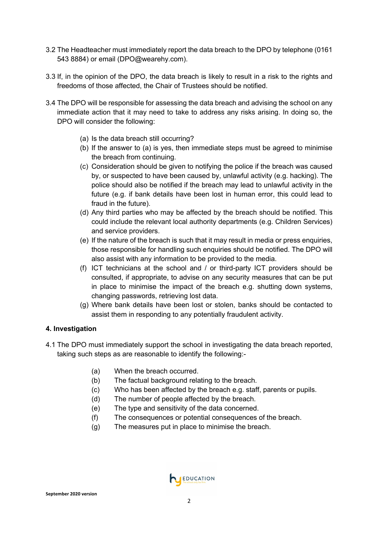- 3.2 The Headteacher must immediately report the data breach to the DPO by telephone (0161 543 8884) or email (DPO@wearehy.com).
- 3.3 If, in the opinion of the DPO, the data breach is likely to result in a risk to the rights and freedoms of those affected, the Chair of Trustees should be notified.
- 3.4 The DPO will be responsible for assessing the data breach and advising the school on any immediate action that it may need to take to address any risks arising. In doing so, the DPO will consider the following:
	- (a) Is the data breach still occurring?
	- (b) If the answer to (a) is yes, then immediate steps must be agreed to minimise the breach from continuing.
	- (c) Consideration should be given to notifying the police if the breach was caused by, or suspected to have been caused by, unlawful activity (e.g. hacking). The police should also be notified if the breach may lead to unlawful activity in the future (e.g. if bank details have been lost in human error, this could lead to fraud in the future).
	- (d) Any third parties who may be affected by the breach should be notified. This could include the relevant local authority departments (e.g. Children Services) and service providers.
	- (e) If the nature of the breach is such that it may result in media or press enquiries, those responsible for handling such enquiries should be notified. The DPO will also assist with any information to be provided to the media.
	- (f) ICT technicians at the school and / or third-party ICT providers should be consulted, if appropriate, to advise on any security measures that can be put in place to minimise the impact of the breach e.g. shutting down systems, changing passwords, retrieving lost data.
	- (g) Where bank details have been lost or stolen, banks should be contacted to assist them in responding to any potentially fraudulent activity.

# **4. Investigation**

- 4.1 The DPO must immediately support the school in investigating the data breach reported, taking such steps as are reasonable to identify the following:-
	- (a) When the breach occurred.
	- (b) The factual background relating to the breach.
	- (c) Who has been affected by the breach e.g. staff, parents or pupils.
	- (d) The number of people affected by the breach.
	- (e) The type and sensitivity of the data concerned.
	- (f) The consequences or potential consequences of the breach.
	- (g) The measures put in place to minimise the breach.

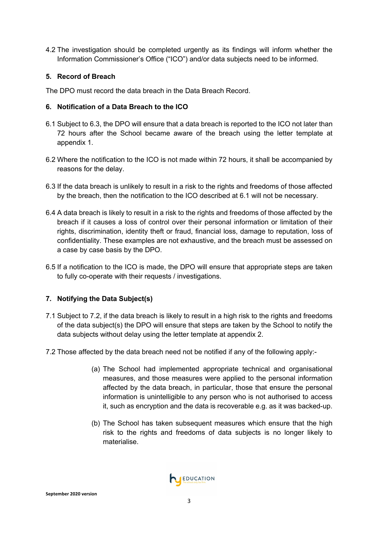4.2 The investigation should be completed urgently as its findings will inform whether the Information Commissioner's Office ("ICO") and/or data subjects need to be informed.

### **5. Record of Breach**

The DPO must record the data breach in the Data Breach Record.

### **6. Notification of a Data Breach to the ICO**

- 6.1 Subject to 6.3, the DPO will ensure that a data breach is reported to the ICO not later than 72 hours after the School became aware of the breach using the letter template at appendix 1.
- 6.2 Where the notification to the ICO is not made within 72 hours, it shall be accompanied by reasons for the delay.
- 6.3 If the data breach is unlikely to result in a risk to the rights and freedoms of those affected by the breach, then the notification to the ICO described at 6.1 will not be necessary.
- 6.4 A data breach is likely to result in a risk to the rights and freedoms of those affected by the breach if it causes a loss of control over their personal information or limitation of their rights, discrimination, identity theft or fraud, financial loss, damage to reputation, loss of confidentiality. These examples are not exhaustive, and the breach must be assessed on a case by case basis by the DPO.
- 6.5 If a notification to the ICO is made, the DPO will ensure that appropriate steps are taken to fully co-operate with their requests / investigations.

#### **7. Notifying the Data Subject(s)**

- 7.1 Subject to 7.2, if the data breach is likely to result in a high risk to the rights and freedoms of the data subject(s) the DPO will ensure that steps are taken by the School to notify the data subjects without delay using the letter template at appendix 2.
- 7.2 Those affected by the data breach need not be notified if any of the following apply:-
	- (a) The School had implemented appropriate technical and organisational measures, and those measures were applied to the personal information affected by the data breach, in particular, those that ensure the personal information is unintelligible to any person who is not authorised to access it, such as encryption and the data is recoverable e.g. as it was backed-up.
	- (b) The School has taken subsequent measures which ensure that the high risk to the rights and freedoms of data subjects is no longer likely to materialise.

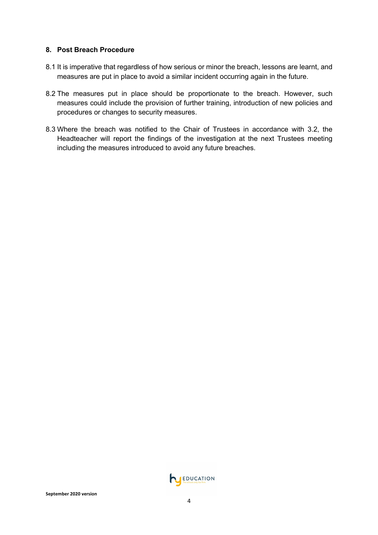#### **8. Post Breach Procedure**

- 8.1 It is imperative that regardless of how serious or minor the breach, lessons are learnt, and measures are put in place to avoid a similar incident occurring again in the future.
- 8.2 The measures put in place should be proportionate to the breach. However, such measures could include the provision of further training, introduction of new policies and procedures or changes to security measures.
- 8.3 Where the breach was notified to the Chair of Trustees in accordance with 3.2, the Headteacher will report the findings of the investigation at the next Trustees meeting including the measures introduced to avoid any future breaches.

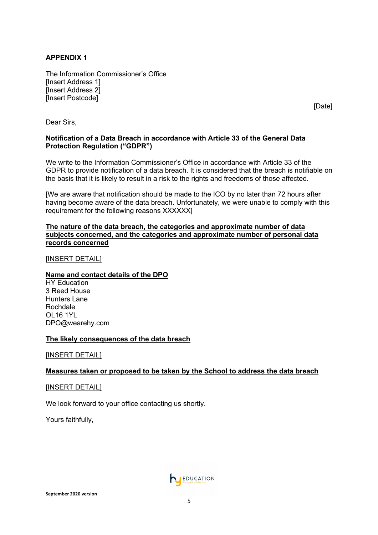### **APPENDIX 1**

The Information Commissioner's Office [Insert Address 1] [Insert Address 2] [Insert Postcode]

[Date]

Dear Sirs,

#### **Notification of a Data Breach in accordance with Article 33 of the General Data Protection Regulation ("GDPR")**

We write to the Information Commissioner's Office in accordance with Article 33 of the GDPR to provide notification of a data breach. It is considered that the breach is notifiable on the basis that it is likely to result in a risk to the rights and freedoms of those affected.

[We are aware that notification should be made to the ICO by no later than 72 hours after having become aware of the data breach. Unfortunately, we were unable to comply with this requirement for the following reasons XXXXXX]

#### **The nature of the data breach, the categories and approximate number of data subjects concerned, and the categories and approximate number of personal data records concerned**

#### [INSERT DETAIL]

#### **Name and contact details of the DPO**

**HY Education** 3 Reed House Hunters Lane Rochdale OL16 1YL DPO@wearehy.com

#### **The likely consequences of the data breach**

[INSERT DETAIL]

#### **Measures taken or proposed to be taken by the School to address the data breach**

[INSERT DETAIL]

We look forward to your office contacting us shortly.

Yours faithfully,

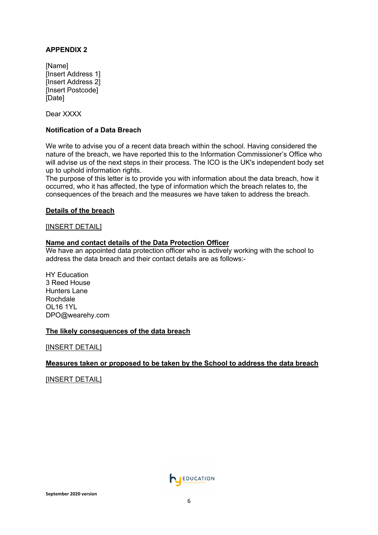### **APPENDIX 2**

[Name] [Insert Address 1] [Insert Address 2] [Insert Postcode] [Date]

Dear XXXX

#### **Notification of a Data Breach**

We write to advise you of a recent data breach within the school. Having considered the nature of the breach, we have reported this to the Information Commissioner's Office who will advise us of the next steps in their process. The ICO is the UK's independent body set up to uphold information rights.

The purpose of this letter is to provide you with information about the data breach, how it occurred, who it has affected, the type of information which the breach relates to, the consequences of the breach and the measures we have taken to address the breach.

#### **Details of the breach**

[INSERT DETAIL]

#### **Name and contact details of the Data Protection Officer**

We have an appointed data protection officer who is actively working with the school to address the data breach and their contact details are as follows:-

HY Education 3 Reed House Hunters Lane Rochdale OL16 1YL DPO@wearehy.com

#### **The likely consequences of the data breach**

[INSERT DETAIL]

#### **Measures taken or proposed to be taken by the School to address the data breach**

[INSERT DETAIL]